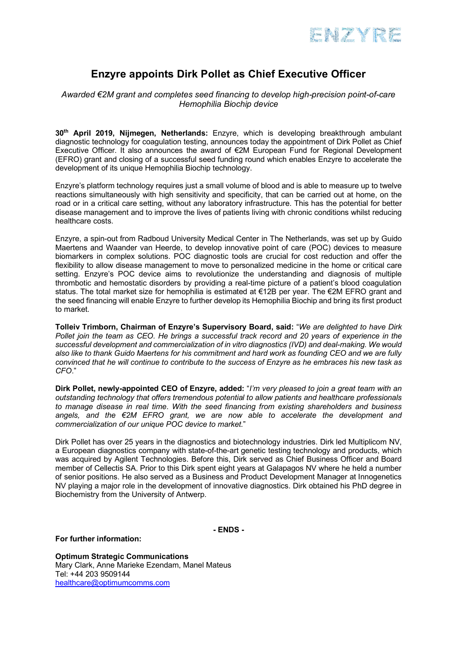

# **Enzyre appoints Dirk Pollet as Chief Executive Officer**

## *Awarded €2M grant and completes seed financing to develop high-precision point-of-care Hemophilia Biochip device*

**30th April 2019, Nijmegen, Netherlands:** Enzyre, which is developing breakthrough ambulant diagnostic technology for coagulation testing, announces today the appointment of Dirk Pollet as Chief Executive Officer. It also announces the award of €2M European Fund for Regional Development (EFRO) grant and closing of a successful seed funding round which enables Enzyre to accelerate the development of its unique Hemophilia Biochip technology.

Enzyre's platform technology requires just a small volume of blood and is able to measure up to twelve reactions simultaneously with high sensitivity and specificity, that can be carried out at home, on the road or in a critical care setting, without any laboratory infrastructure. This has the potential for better disease management and to improve the lives of patients living with chronic conditions whilst reducing healthcare costs.

Enzyre, a spin-out from Radboud University Medical Center in The Netherlands, was set up by Guido Maertens and Waander van Heerde, to develop innovative point of care (POC) devices to measure biomarkers in complex solutions. POC diagnostic tools are crucial for cost reduction and offer the flexibility to allow disease management to move to personalized medicine in the home or critical care setting. Enzyre's POC device aims to revolutionize the understanding and diagnosis of multiple thrombotic and hemostatic disorders by providing a real-time picture of a patient's blood coagulation status. The total market size for hemophilia is estimated at €12B per year. The €2M EFRO grant and the seed financing will enable Enzyre to further develop its Hemophilia Biochip and bring its first product to market.

**Tolleiv Trimborn, Chairman of Enzyre's Supervisory Board, said:** "*We are delighted to have Dirk Pollet join the team as CEO. He brings a successful track record and 20 years of experience in the successful development and commercialization of in vitro diagnostics (IVD) and deal-making. We would also like to thank Guido Maertens for his commitment and hard work as founding CEO and we are fully convinced that he will continue to contribute to the success of Enzyre as he embraces his new task as CFO*."

**Dirk Pollet, newly-appointed CEO of Enzyre, added:** "*I'm very pleased to join a great team with an outstanding technology that offers tremendous potential to allow patients and healthcare professionals to manage disease in real time*. *With the seed financing from existing shareholders and business angels, and the €2M EFRO grant, we are now able to accelerate the development and commercialization of our unique POC device to market.*"

Dirk Pollet has over 25 years in the diagnostics and biotechnology industries. Dirk led Multiplicom NV, a European diagnostics company with state-of-the-art genetic testing technology and products, which was acquired by Agilent Technologies. Before this, Dirk served as Chief Business Officer and Board member of Cellectis SA. Prior to this Dirk spent eight years at Galapagos NV where he held a number of senior positions. He also served as a Business and Product Development Manager at Innogenetics NV playing a major role in the development of innovative diagnostics. Dirk obtained his PhD degree in Biochemistry from the University of Antwerp.

**- ENDS -**

### **For further information:**

**Optimum Strategic Communications** Mary Clark, Anne Marieke Ezendam, Manel Mateus Tel: +44 203 9509144 healthcare@optimumcomms.com